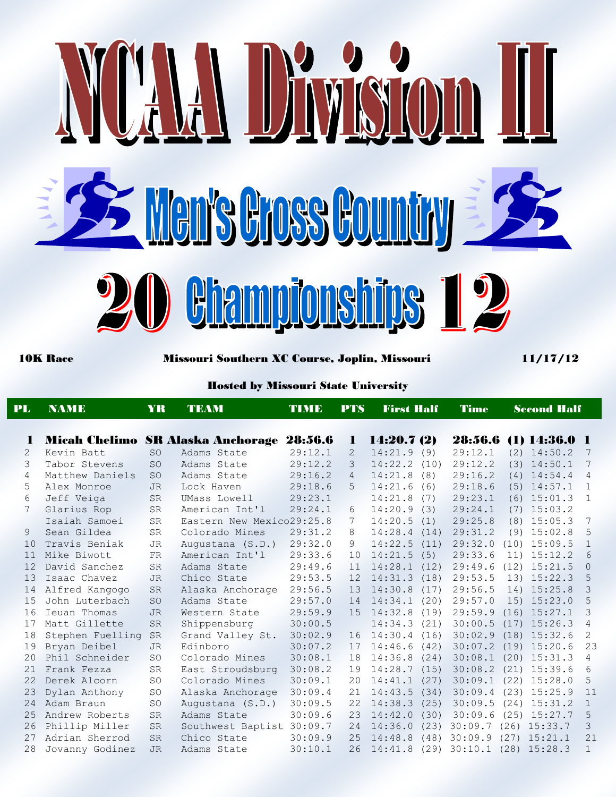

10K Race Missouri Southern XC Course, Joplin, Missouri 11/17/12

## Hosted by Missouri State University

| PL | <b>NAME</b>      | YR<br><b>TEAM</b> |                                           | TIME    | <b>PTS</b>     | <b>First Half</b> | <b>Time</b> | <b>Second Half</b>            |                |
|----|------------------|-------------------|-------------------------------------------|---------|----------------|-------------------|-------------|-------------------------------|----------------|
| п  |                  |                   | Micah Chelimo SR Alaska Anchorage 28:56.6 |         | T.             | 14:20.7(2)        |             | 28:56.6 (1) 14:36.0 1         |                |
| 2  | Kevin Batt       | SO.               | Adams State                               | 29:12.1 | 2              | 14:21.9(9)        | 29:12.1     | $(2)$ 14:50.2                 | 7              |
| 3  | Tabor Stevens    | <b>SO</b>         | Adams State                               | 29:12.2 | 3              | $14:22.2$ $(10)$  | 29:12.2     | $(3)$ 14:50.1                 | 7              |
| 4  | Matthew Daniels  | <b>SO</b>         | Adams State                               | 29:16.2 | $\overline{4}$ | 14:21.8<br>(8)    | 29:16.2     | $(4)$ 14:54.4                 | $\overline{4}$ |
| 5  | Alex Monroe      | <b>JR</b>         | Lock Haven                                | 29:18.6 | 5              | 14:21.6<br>(6)    | 29:18.6     | $(5)$ 14:57.1                 | 1              |
| 6  | Jeff Veiga       | <b>SR</b>         | UMass Lowell                              | 29:23.1 |                | 14:21.8<br>(7)    | 29:23.1     | $(6)$ 15:01.3                 | $\overline{1}$ |
| 7  | Glarius Rop      | <b>SR</b>         | American Int'l                            | 29:24.1 | 6              | 14:20.9<br>(3)    | 29:24.1     | $(7)$ 15:03.2                 |                |
|    | Isaiah Samoei    | <b>SR</b>         | Eastern New Mexico29:25.8                 |         | 7              | 14:20.5<br>(1)    | 29:25.8     | $(8)$ 15:05.3                 | 7              |
| 9  | Sean Gildea      | <b>SR</b>         | Colorado Mines                            | 29:31.2 | 8              | 14:28.4<br>(14)   | 29:31.2     | $(9)$ 15:02.8                 | 5              |
| 10 | Travis Beniak    | JR.               | Augustana (S.D.)                          | 29:32.0 | 9              | 14:22.5<br>(11)   | 29:32.0     | $(10)$ 15:09.5                | $\mathbf{1}$   |
| 11 | Mike Biwott      | FR.               | American Int'l                            | 29:33.6 | 10             | 14:21.5<br>(5)    | 29:33.6     | $11)$ $15:12.2$               | 6              |
| 12 | David Sanchez    | <b>SR</b>         | Adams State                               | 29:49.6 | 11             | 14:28.1<br>(12)   | 29:49.6     | $(12)$ 15:21.5                | $\Omega$       |
| 13 | Isaac Chavez     | <b>JR</b>         | Chico State                               | 29:53.5 | 12             | 14:31.3<br>(18)   | 29:53.5     | $13)$ $15:22.3$               | 5              |
| 14 | Alfred Kangogo   | <b>SR</b>         | Alaska Anchorage                          | 29:56.5 | 13             | 14:30.8<br>(17)   | 29:56.5     | 14) 15:25.8                   | 3              |
| 15 | John Luterbach   | <b>SO</b>         | Adams State                               | 29:57.0 | 14             | 14:34.1<br>(20)   | 29:57.0     | $15)$ $15:23.0$               | 5              |
| 16 | Ieuan Thomas     | <b>JR</b>         | Western State                             | 29:59.9 | 15             | 14:32.8<br>(19)   | 29:59.9     | $(16)$ 15:27.1                | 3              |
| 17 | Matt Gillette    | <b>SR</b>         | Shippensburg                              | 30:00.5 |                | 14:34.3<br>(21)   | 30:00.5     | $(17)$ 15:26.3                | 4              |
| 18 | Stephen Fuelling | SR                | Grand Valley St.                          | 30:02.9 | 16             | 14:30.4<br>(16)   | 30:02.9     | $(18)$ 15:32.6                | $\overline{2}$ |
| 19 | Bryan Deibel     | <b>JR</b>         | Edinboro                                  | 30:07.2 | 17             | 14:46.6<br>(42)   | 30:07.2     | $(19)$ 15:20.6                | 23             |
| 20 | Phil Schneider   | <b>SO</b>         | Colorado Mines                            | 30:08.1 | 18             | 14:36.8<br>(24)   | 30:08.1     | $(20)$ 15:31.3                | 4              |
| 21 | Frank Fezza      | <b>SR</b>         | East Stroudsburg                          | 30:08.2 | 19             | 14:28.7<br>(15)   | 30:08.2     | $(21)$ 15:39.6                | 6              |
| 22 | Derek Alcorn     | <b>SO</b>         | Colorado Mines                            | 30:09.1 | 20             | 14:41.1<br>(27)   | 30:09.1     | $(22)$ 15:28.0                | 5              |
| 23 | Dylan Anthony    | <b>SO</b>         | Alaska Anchorage                          | 30:09.4 | 21             | 14:43.5<br>(34)   | 30:09.4     | $(23)$ 15:25.9                | 11             |
| 24 | Adam Braun       | <b>SO</b>         | Augustana (S.D.)                          | 30:09.5 | 22             | 14:38.3<br>(25)   | 30:09.5     | $(24)$ 15:31.2                | $\mathbf{1}$   |
| 25 | Andrew Roberts   | <b>SR</b>         | Adams State                               | 30:09.6 | 23             | 14:42.0<br>(30)   | 30:09.6     | $(25)$ 15:27.7                | 5              |
| 26 | Phillip Miller   | <b>SR</b>         | Southwest Baptist 30:09.7                 |         | 24             | 14:36.0<br>(23)   | 30:09.7     | $(26)$ 15:33.7                | 3              |
| 27 | Adrian Sherrod   | <b>SR</b>         | Chico State                               | 30:09.9 | 25             | 14:48.8<br>(48)   | 30:09.9     | $(27)$ 15:21.1                | 21             |
| 28 | Jovanny Godinez  | <b>JR</b>         | Adams State                               | 30:10.1 | 26             | 14:41.8           |             | $(29)$ 30:10.1 $(28)$ 15:28.3 |                |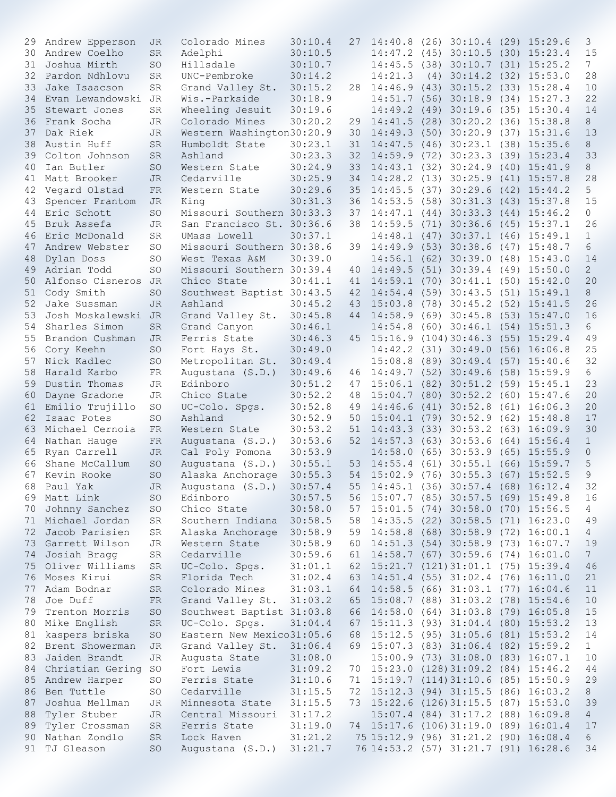| 29 | Andrew Epperson        | JR        | Colorado Mines            | 30:10.4 | 27 |                        | $14:40.8$ (26) 30:10.4 (29) 15:29.6   |                                      | 3               |
|----|------------------------|-----------|---------------------------|---------|----|------------------------|---------------------------------------|--------------------------------------|-----------------|
| 30 | Andrew Coelho          | <b>SR</b> | Adelphi                   | 30:10.5 |    |                        | 14:47.2 (45) 30:10.5 (30) 15:23.4     |                                      | 15              |
| 31 | Joshua Mirth           | SO        | Hillsdale                 | 30:10.7 |    |                        | 14:45.5 (38) 30:10.7 (31) 15:25.2     |                                      | $7\phantom{.0}$ |
| 32 | Pardon Ndhlovu         | <b>SR</b> | UNC-Pembroke              |         |    | 14:21.3                |                                       |                                      | 28              |
|    |                        |           |                           | 30:14.2 |    |                        | $(4)$ 30:14.2 $(32)$ 15:53.0          |                                      |                 |
| 33 | Jake Isaacson          | SR        | Grand Valley St.          | 30:15.2 |    |                        | 28 14:46.9 (43) 30:15.2 (33) 15:28.4  |                                      | 10              |
| 34 | Evan Lewandowski       | JR        | Wis.-Parkside             | 30:18.9 |    |                        | 14:51.7 (56) 30:18.9 (34) 15:27.3     |                                      | 22              |
| 35 | Stewart Jones          | SR        | Wheeling Jesuit           | 30:19.6 |    |                        | 14:49.2 (49) 30:19.6                  | $(35)$ 15:30.4                       | 14              |
| 36 | Frank Socha            | JR        | Colorado Mines            | 30:20.2 | 29 |                        | 14:41.5(28)30:20.2                    | $(36)$ 15:38.8                       | 8               |
| 37 | Dak Riek               | <b>JR</b> | Western Washington30:20.9 |         | 30 | $14:49.3$ (50) 30:20.9 |                                       | $(37)$ 15:31.6                       | 13              |
| 38 | Austin Huff            | <b>SR</b> | Humboldt State            | 30:23.1 | 31 |                        | 14:47.5 (46) 30:23.1 (38) 15:35.6     |                                      | 8               |
| 39 | Colton Johnson         | <b>SR</b> | Ashland                   | 30:23.3 | 32 |                        | 14:59.9 (72) 30:23.3 (39) 15:23.4     |                                      | 33              |
| 40 | Ian Butler             | SO        | Western State             | 30:24.9 | 33 |                        | 14:43.1 (32) 30:24.9 (40) 15:41.9     |                                      | 8               |
|    |                        |           |                           |         |    |                        |                                       |                                      |                 |
| 41 | Matt Brooker           | <b>JR</b> | Cedarville                | 30:25.9 | 34 | 14:28.2 (13) 30:25.9   |                                       | $(41)$ 15:57.8                       | 28              |
| 42 | Vegard Olstad          | FR        | Western State             | 30:29.6 | 35 | 14:45.5 (37) 30:29.6   |                                       | $(42)$ 15:44.2                       | 5               |
| 43 | Spencer Frantom        | JR.       | King                      | 30:31.3 | 36 |                        | 14:53.5 (58) 30:31.3 (43) 15:37.8     |                                      | 15              |
| 44 | Eric Schott            | SO        | Missouri Southern 30:33.3 |         | 37 |                        | 14:47.1 (44) 30:33.3 (44) 15:46.2     |                                      | 0               |
| 45 | Bruk Assefa            | JR        | San Francisco St. 30:36.6 |         | 38 | 14:59.5 (71) 30:36.6   |                                       | $(45)$ 15:37.1                       | 26              |
| 46 | Eric McDonald          | SR        | UMass Lowell              | 30:37.1 |    |                        | 14:48.1 (47) 30:37.1 (46) 15:49.1     |                                      | $\mathbf{1}$    |
| 47 | Andrew Webster         | SO        | Missouri Southern 30:38.6 |         | 39 |                        | 14:49.9 (53) 30:38.6 (47) 15:48.7     |                                      | 6               |
| 48 | Dylan Doss             | SO        | West Texas A&M            | 30:39.0 |    |                        | 14:56.1 (62) 30:39.0 (48) 15:43.0     |                                      | 14              |
|    | Adrian Todd            | SO.       | Missouri Southern 30:39.4 |         |    |                        | 14:49.5 (51) 30:39.4 (49) 15:50.0     |                                      | $\overline{c}$  |
| 49 |                        |           |                           |         | 40 |                        |                                       |                                      |                 |
| 50 | Alfonso Cisneros JR    |           | Chico State               | 30:41.1 | 41 |                        | 14:59.1 (70) 30:41.1 (50) 15:42.0     |                                      | 20              |
| 51 | Cody Smith             | SO.       | Southwest Baptist 30:43.5 |         | 42 | 14:54.4 (59) 30:43.5   |                                       | $(51)$ 15:49.1                       | 8               |
| 52 | Jake Sussman           | JR.       | Ashland                   | 30:45.2 | 43 | 15:03.8                | $(78)$ 30:45.2 $(52)$ 15:41.5         |                                      | 26              |
| 53 | Josh Moskalewski       | <b>JR</b> | Grand Valley St.          | 30:45.8 | 44 | $14:58.9$ (69) 30:45.8 |                                       | $(53)$ 15:47.0                       | 16              |
| 54 | Sharles Simon          | <b>SR</b> | Grand Canyon              | 30:46.1 |    |                        | $14:54.8$ (60) 30:46.1 (54) 15:51.3   |                                      | 6               |
| 55 | Brandon Cushman        | JR        | Ferris State              | 30:46.3 | 45 |                        | $15:16.9$ (104) 30:46.3 (55) 15:29.4  |                                      | 49              |
| 56 | Cory Keehn             | SO        | Fort Hays St.             | 30:49.0 |    |                        | 14:42.2 (31) 30:49.0 (56) 16:06.8     |                                      | 25              |
| 57 | Nick Kadlec            | <b>SO</b> | Metropolitan St.          | 30:49.4 |    |                        | 15:08.8 (89) 30:49.4 (57) 15:40.6     |                                      | 32              |
| 58 | Harald Karbo           | FR        | Augustana (S.D.)          | 30:49.6 | 46 |                        | 14:49.7 (52) 30:49.6 (58) 15:59.9     |                                      | 6               |
|    |                        |           |                           |         |    |                        |                                       |                                      |                 |
| 59 | Dustin Thomas          | JR        | Edinboro                  | 30:51.2 | 47 |                        | $15:06.1$ (82) 30:51.2 (59) 15:45.1   |                                      | 23              |
| 60 | Dayne Gradone          | JR        | Chico State               | 30:52.2 | 48 |                        | 15:04.7 (80) 30:52.2 (60) 15:47.6     |                                      | 20              |
| 61 | Emilio Trujillo        | SO        | UC-Colo. Spgs.            | 30:52.8 | 49 | 14:46.6 (41) 30:52.8   |                                       | $(61)$ 16:06.3                       | 20              |
| 62 | Isaac Potes            | <b>SO</b> | Ashland                   | 30:52.9 | 50 |                        | 15:04.1 (79) 30:52.9 (62) 15:48.8     |                                      | 17              |
| 63 | Michael Cernoia        | FR        | Western State             | 30:53.2 | 51 |                        | 14:43.3(33)30:53.2                    | $(63)$ 16:09.9                       | 30              |
| 64 | Nathan Hauge           | FR        | Augustana (S.D.)          | 30:53.6 | 52 | $14:57.3$ (63) 30:53.6 |                                       | $(64)$ 15:56.4                       | $\mathbf 1$     |
| 65 | Ryan Carrell           | JR        | Cal Poly Pomona           | 30:53.9 |    |                        | $14:58.0$ (65) 30:53.9                | $(65)$ 15:55.9                       | $\mathsf{O}$    |
| 66 | Shane McCallum         | SO        | Augustana (S.D.)          | 30:55.1 | 53 |                        | 14:55.4 (61) 30:55.1 (66) 15:59.7     |                                      | 5               |
| 67 | Kevin Rooke            | <b>SO</b> | Alaska Anchorage          | 30:55.3 | 54 |                        | 15:02.9 (76) 30:55.3 (67) 15:52.5     |                                      | 9               |
|    | 68 Paul Yak            | JR        |                           |         |    |                        |                                       |                                      | 32              |
|    |                        |           | Augustana (S.D.) 30:57.4  |         |    |                        |                                       | 55 14:45.1 (36) 30:57.4 (68) 16:12.4 |                 |
|    | 69 Matt Link           | <b>SO</b> | Edinboro                  | 30:57.5 |    |                        | 56 15:07.7 (85) 30:57.5 (69) 15:49.8  |                                      | 16              |
|    | 70 Johnny Sanchez      | SO        | Chico State               | 30:58.0 |    |                        | 57 15:01.5 (74) 30:58.0 (70) 15:56.5  |                                      | $4\overline{ }$ |
| 71 | Michael Jordan         | SR        | Southern Indiana 30:58.5  |         | 58 |                        | 14:35.5 (22) 30:58.5 (71) 16:23.0     |                                      | 49              |
|    | 72 Jacob Parisien      | SR        | Alaska Anchorage 30:58.9  |         |    |                        | 59 14:58.8 (68) 30:58.9 (72) 16:00.1  |                                      | $\overline{4}$  |
|    | 73 Garrett Wilson      | JR        | Western State             | 30:58.9 |    |                        | 60 14:51.3 (54) 30:58.9 (73) 16:07.7  |                                      | 19              |
|    | 74 Josiah Bragg        | SR        | Cedarville                | 30:59.6 |    |                        | 61 14:58.7 (67) 30:59.6 (74) 16:01.0  |                                      | $7\overline{ }$ |
|    | 75 Oliver Williams     | SR        | UC-Colo. Spgs.            | 31:01.1 |    |                        | 62 15:21.7 (121) 31:01.1 (75) 15:39.4 |                                      | 46              |
|    | 76 Moses Kirui         | SR        | Florida Tech              | 31:02.4 |    |                        | 63 14:51.4 (55) 31:02.4 (76) 16:11.0  |                                      | 21              |
|    | 77 Adam Bodnar         |           | Colorado Mines            | 31:03.1 |    |                        |                                       |                                      |                 |
|    |                        | SR        |                           |         |    |                        | 64 14:58.5 (66) 31:03.1 (77) 16:04.6  |                                      | 11              |
|    | 78 Joe Duff            | FR        | Grand Valley St. 31:03.2  |         |    |                        | 65 15:08.7 (88) 31:03.2 (78) 15:54.6  |                                      | 10              |
| 79 | Trenton Morris         | SO        | Southwest Baptist 31:03.8 |         |    |                        | 66 14:58.0 (64) 31:03.8 (79) 16:05.8  |                                      | 15              |
| 80 | Mike English           | SR        | UC-Colo. Spgs.            | 31:04.4 |    |                        | 67 15:11.3 (93) 31:04.4 (80) 15:53.2  |                                      | 13              |
| 81 | kaspers briska         | SO        | Eastern New Mexico31:05.6 |         | 68 |                        | 15:12.5 (95) 31:05.6 (81) 15:53.2     |                                      | 14              |
|    | 82 Brent Showerman     | JR        | Grand Valley St. 31:06.4  |         |    |                        | 69 15:07.3 (83) 31:06.4 (82) 15:59.2  |                                      | $\mathbf{1}$    |
|    | 83 Jaiden Brandt       | JR        | Augusta State             | 31:08.0 |    |                        | 15:00.9 (73) 31:08.0 (83) 16:07.1     |                                      | 10              |
|    | 84 Christian Gering SO |           | Fort Lewis                | 31:09.2 |    |                        | 70 15:23.0 (128) 31:09.2 (84) 15:46.2 |                                      | 44              |
|    | 85 Andrew Harper       | SO        | Ferris State              | 31:10.6 |    |                        | 71 15:19.7 (114) 31:10.6 (85) 15:50.9 |                                      | 29              |
|    | 86 Ben Tuttle          | SO        | Cedarville                | 31:15.5 |    |                        | 72 15:12.3 (94) 31:15.5 (86) 16:03.2  |                                      | 8 <sup>2</sup>  |
|    |                        |           |                           |         |    |                        |                                       |                                      |                 |
| 87 | Joshua Mellman         | JR        | Minnesota State           | 31:15.5 |    |                        | 73 15:22.6 (126) 31:15.5 (87) 15:53.0 |                                      | 39              |
| 88 | Tyler Stuber           | JR        | Central Missouri 31:17.2  |         |    |                        | 15:07.4 (84) 31:17.2 (88) 16:09.8     |                                      | 4               |
| 89 | Tyler Crossman         | SR        | Ferris State              | 31:19.0 |    |                        | 74 15:17.6 (106) 31:19.0 (89) 16:01.4 |                                      | 17              |
| 90 | Nathan Zondlo          | SR        | Lock Haven                | 31:21.2 |    |                        | 75 15:12.9 (96) 31:21.2 (90) 16:08.4  |                                      | 6               |
|    | 91 TJ Gleason          | SO        | Augustana (S.D.) 31:21.7  |         |    |                        | 76 14:53.2 (57) 31:21.7 (91) 16:28.6  |                                      | 34              |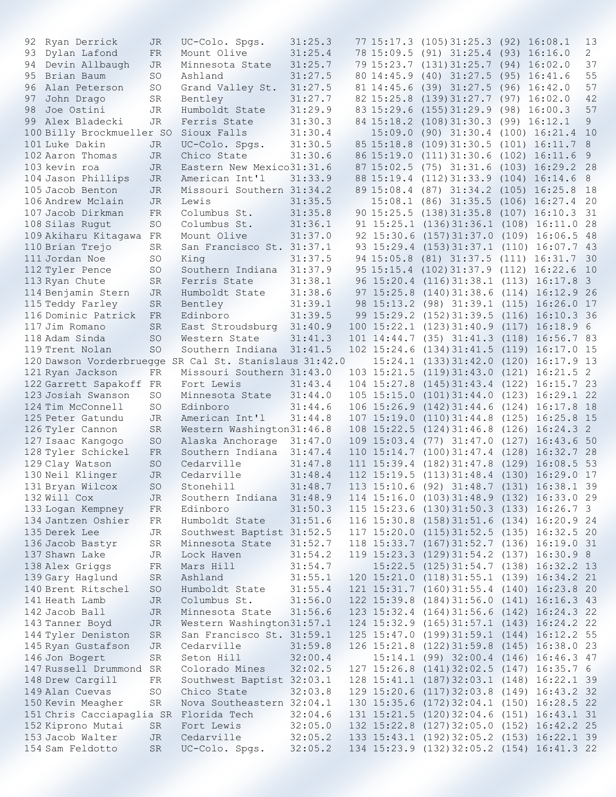| 92 | Ryan Derrick                           | JR          | UC-Colo. Spgs.                                         | 31:25.3 |                 | 77 15:17.3 (105) 31:25.3 (92) 16:08.1      |                                    | 13                      |
|----|----------------------------------------|-------------|--------------------------------------------------------|---------|-----------------|--------------------------------------------|------------------------------------|-------------------------|
|    | 93 Dylan Lafond                        | FR.         | Mount Olive                                            | 31:25.4 |                 | 78 15:09.5 (91) 31:25.4 (93) 16:16.0       |                                    | 2                       |
| 94 | Devin Allbaugh                         | JR          | Minnesota State                                        | 31:25.7 |                 | 79 15:23.7 (131) 31:25.7 (94) 16:02.0      |                                    | 37                      |
| 95 | Brian Baum                             | SO          | Ashland                                                | 31:27.5 |                 | 80 14:45.9 (40) 31:27.5 (95) 16:41.6       |                                    | 55                      |
| 96 | Alan Peterson                          | SO          | Grand Valley St.                                       | 31:27.5 |                 | 81 14:45.6 (39) 31:27.5                    | $(96)$ 16:42.0                     | 57                      |
| 97 | John Drago                             | SR          | Bentley                                                | 31:27.7 | 82 15:25.8      | (139)31:27.7                               | (97) 16:02.0                       | 42                      |
|    |                                        |             |                                                        |         |                 |                                            |                                    |                         |
| 98 | Joe Ostini                             | <b>JR</b>   | Humboldt State                                         | 31:29.9 |                 | 83 15:29.6 (155) 31:29.9                   | $(98)$ 16:00.3                     | 57                      |
|    | 99 Alex Bladecki                       | JR.         | Ferris State                                           | 31:30.3 |                 | 84 15:18.2 (108) 31:30.3                   | $(99)$ 16:12.1                     | 9                       |
|    | 100 Billy Brockmueller SO              |             | Sioux Falls                                            | 31:30.4 |                 | $15:09.0$ (90) $31:30.4$                   | $(100)$ 16:21.4                    | 10                      |
|    | 101 Luke Dakin                         | JR          | UC-Colo. Spgs.                                         | 31:30.5 | 85 15:18.8      | (109)31:30.5                               | $(101)$ 16:11.7                    | 8                       |
|    | 102 Aaron Thomas                       | JR.         | Chico State                                            | 31:30.6 |                 | 86 15:19.0 (111) 31:30.6                   | $(102)$ 16:11.6                    | 9                       |
|    | 103 kevin roa                          | JR.         | Eastern New Mexico31:31.6                              |         |                 | 87 15:02.5 (75) 31:31.6                    | $(103)$ 16:29.2                    | 28                      |
|    |                                        |             |                                                        |         |                 |                                            |                                    |                         |
|    | 104 Jason Phillips                     | JR.         | American Int'l                                         | 31:33.9 |                 | 88 15:19.4 (112) 31:33.9                   | $(104)$ 16:14.6                    | 8                       |
|    | 105 Jacob Benton                       | JR          | Missouri Southern 31:34.2                              |         |                 | 89 15:08.4 (87) 31:34.2                    | $(105)$ 16:25.8                    | 18                      |
|    | 106 Andrew Mclain                      | JR.         | Lewis                                                  | 31:35.5 |                 | 15:08.1 (86) 31:35.5                       | $(106)$ 16:27.4                    | 20                      |
|    | 107 Jacob Dirkman                      | FR          | Columbus St.                                           | 31:35.8 |                 | 90 15:25.5 (138) 31:35.8                   | $(107)$ 16:10.3                    | 31                      |
|    | 108 Silas Rugut                        | SO          | Columbus St.                                           | 31:36.1 | 91 15:25.1      | (136)31:36.1                               | $(108)$ 16:11.0                    | 28                      |
|    | 109 Akiharu Kitagawa FR                |             | Mount Olive                                            | 31:37.0 | 92 15:30.6      | $(157)$ 31:37.0                            | $(109)$ 16:06.5 48                 |                         |
|    |                                        |             |                                                        |         |                 |                                            |                                    |                         |
|    | 110 Brian Trejo                        | SR          | San Francisco St. 31:37.1                              |         | 93 15:29.4      | $(153)$ 31:37.1                            | $(110)$ 16:07.7 43                 |                         |
|    | 111 Jordan Noe                         | SO          | King                                                   | 31:37.5 |                 | 94 15:05.8 (81) 31:37.5 (111) 16:31.7      |                                    | 30                      |
|    | 112 Tyler Pence                        | SO          | Southern Indiana                                       | 31:37.9 |                 | 95 15:15.4 (102) 31:37.9 (112) 16:22.6     |                                    | 10                      |
|    | 113 Ryan Chute                         | SR.         | Ferris State                                           | 31:38.1 |                 | 96 15:20.4 (116) 31:38.1 (113) 16:17.8     |                                    | $\overline{\mathbf{3}}$ |
|    | 114 Benjamin Stern                     | JR          | Humboldt State                                         | 31:38.6 | 97 15:25.8      | (140)31:38.6                               | $(114)$ 16:12.9 26                 |                         |
|    |                                        |             |                                                        | 31:39.1 |                 |                                            |                                    |                         |
|    | 115 Teddy Farley                       | SR          | Bentley                                                |         |                 | 98 15:13.2 (98) 31:39.1 (115) 16:26.0 17   |                                    |                         |
|    | 116 Dominic Patrick                    | FR          | Edinboro                                               | 31:39.5 |                 | 99 15:29.2 (152) 31:39.5                   | $(116)$ 16:10.3 36                 |                         |
|    | 117 Jim Romano                         | <b>SR</b>   | East Stroudsburg                                       | 31:40.9 | $100$ $15:22.1$ | (123)31:40.9                               | $(117)$ 16:18.9 6                  |                         |
|    | 118 Adam Sinda                         | <b>SO</b>   | Western State                                          | 31:41.3 | 101 14:44.7     | $(35)$ $31:41.3$                           | $(118)$ 16:56.7 83                 |                         |
|    | 119 Trent Nolan                        | <b>SO</b>   | Southern Indiana                                       | 31:41.5 | 102 15:24.6     | (134)31:41.5                               | (119) 16:17.0                      | 15                      |
|    |                                        |             | 120 Dawson Vorderbruegge SR Cal St. Stanislaus 31:42.0 |         |                 | $15:24.1$ $(133)31:42.0$                   | $(120)$ 16:17.9 13                 |                         |
|    | 121 Ryan Jackson                       | FR          | Missouri Southern 31:43.0                              |         |                 | 103 15:21.5 (119) 31:43.0                  | $(121)$ 16:21.5 2                  |                         |
|    |                                        |             |                                                        |         |                 |                                            |                                    |                         |
|    | 122 Garrett Sapakoff FR                |             | Fort Lewis                                             | 31:43.4 | 104 15:27.8     | (145)31:43.4                               | $(122)$ 16:15.7 23                 |                         |
|    | 123 Josiah Swanson                     | SO          | Minnesota State                                        | 31:44.0 | $105$ $15:15.0$ | (101)31:44.0                               | $(123)$ $16:29.1$ 22               |                         |
|    | 124 Tim McConnell                      | SO.         | Edinboro                                               | 31:44.6 | 106 15:26.9     | (142)31:44.6                               | $(124)$ 16:17.8 18                 |                         |
|    | 125 Peter Gatundu                      | <b>JR</b>   | American Int'l                                         | 31:44.8 | 107 15:19.0     | (110)31:44.8                               | $(125)$ $16:25.8$ 15               |                         |
|    | 126 Tyler Cannon                       | SR.         | Western Washington31:46.8                              |         | 108 15:22.5     | (124)31:46.8                               | $(126)$ 16:24.3 2                  |                         |
|    | 127 Isaac Kangogo                      | <b>SO</b>   | Alaska Anchorage                                       | 31:47.0 | 109 15:03.4     | $(77)$ 31:47.0                             | $(127)$ 16:43.6 50                 |                         |
|    |                                        |             |                                                        |         | 110 15:14.7     |                                            |                                    |                         |
|    | 128 Tyler Schickel                     | FR          | Southern Indiana                                       | 31:47.4 |                 | $(100)$ 31:47.4                            | $(128)$ 16:32.7 28                 |                         |
|    | 129 Clay Watson                        | SO          | Cedarville                                             | 31:47.8 | 111 15:39.4     | (182)31:47.8                               | (129)<br>16:08.5                   | 53                      |
|    | 130 Neil Klinger                       | <b>JR</b>   | Cedarville                                             | 31:48.4 |                 | $112$ $15:19.5$ $(113)$ $31:48.4$ $(130)$  | 16:29.0 17                         |                         |
|    | 131 Bryan Wilcox                       | $\mbox{SO}$ | Stonehill                                              | 31:48.7 |                 | 113 15:10.6 (92) 31:48.7 (131) 16:38.1 39  |                                    |                         |
|    | 132 Will Cox                           | JR          | Southern Indiana 31:48.9                               |         |                 | 114 15:16.0 (103) 31:48.9 (132) 16:33.0 29 |                                    |                         |
|    | 133 Logan Kempney                      | FR          | Edinboro                                               | 31:50.3 |                 | 115 15:23.6 (130) 31:50.3 (133) 16:26.7 3  |                                    |                         |
|    |                                        |             |                                                        |         |                 |                                            |                                    |                         |
|    | 134 Jantzen Oshier                     | FR          | Humboldt State                                         | 31:51.6 |                 | 116 15:30.8 (158) 31:51.6 (134) 16:20.9 24 |                                    |                         |
|    | 135 Derek Lee                          | JR          | Southwest Baptist 31:52.5                              |         | 117 15:20.0     |                                            | $(115)$ 31:52.5 $(135)$ 16:32.5 20 |                         |
|    | 136 Jacob Bastyr                       | SR          | Minnesota State                                        | 31:52.7 |                 | 118 15:33.7 (167) 31:52.7 (136) 16:19.0 31 |                                    |                         |
|    | 137 Shawn Lake                         | JR          | Lock Haven                                             | 31:54.2 |                 | 119 15:23.3 (129) 31:54.2 (137) 16:30.9 8  |                                    |                         |
|    | 138 Alex Griggs                        | FR          | Mars Hill                                              | 31:54.7 |                 | 15:22.5 (125) 31:54.7 (138) 16:32.2 13     |                                    |                         |
|    | 139 Gary Haglund                       | SR          | Ashland                                                | 31:55.1 |                 | 120 15:21.0 (118) 31:55.1 (139) 16:34.2 21 |                                    |                         |
|    | 140 Brent Ritschel                     | SO          | Humboldt State                                         | 31:55.4 |                 | 121 15:31.7 (160) 31:55.4 (140) 16:23.8 20 |                                    |                         |
|    |                                        |             |                                                        |         |                 |                                            |                                    |                         |
|    | 141 Heath Lamb                         | JR          | Columbus St.                                           | 31:56.0 |                 | 122 15:39.8 (184) 31:56.0 (141) 16:16.3 43 |                                    |                         |
|    | 142 Jacob Ball                         | JR          | Minnesota State                                        | 31:56.6 |                 | 123 15:32.4 (164) 31:56.6 (142) 16:24.3 22 |                                    |                         |
|    | 143 Tanner Boyd                        | JR          | Western Washington31:57.1                              |         |                 | 124 15:32.9 (165) 31:57.1 (143) 16:24.2 22 |                                    |                         |
|    | 144 Tyler Deniston                     | SR          | San Francisco St. 31:59.1                              |         |                 | 125 15:47.0 (199) 31:59.1 (144) 16:12.2 55 |                                    |                         |
|    | 145 Ryan Gustafson                     | JR          | Cedarville                                             | 31:59.8 |                 | 126 15:21.8 (122) 31:59.8 (145) 16:38.0 23 |                                    |                         |
|    | 146 Jon Bogert                         | SR          | Seton Hill                                             | 32:00.4 |                 | 15:14.1 (99) 32:00.4 (146) 16:46.3 47      |                                    |                         |
|    |                                        |             |                                                        |         |                 |                                            |                                    |                         |
|    | 147 Russell Drummond SR                |             | Colorado Mines                                         | 32:02.5 |                 | 127 15:26.8 (141) 32:02.5 (147) 16:35.7 6  |                                    |                         |
|    | 148 Drew Cargill                       | FR          | Southwest Baptist 32:03.1                              |         |                 | 128 15:41.1 (187) 32:03.1 (148) 16:22.1 39 |                                    |                         |
|    | 149 Alan Cuevas                        | SO          | Chico State                                            | 32:03.8 |                 | 129 15:20.6 (117) 32:03.8 (149) 16:43.2 32 |                                    |                         |
|    | 150 Kevin Meagher                      | SR          | Nova Southeastern 32:04.1                              |         |                 | 130 15:35.6 (172) 32:04.1 (150) 16:28.5 22 |                                    |                         |
|    | 151 Chris Cacciapaglia SR Florida Tech |             |                                                        | 32:04.6 |                 | 131 15:21.5 (120) 32:04.6 (151) 16:43.1 31 |                                    |                         |
|    | 152 Kiprono Mutai                      | SR          | Fort Lewis                                             | 32:05.0 |                 | 132 15:22.8 (127) 32:05.0 (152) 16:42.2 25 |                                    |                         |
|    | 153 Jacob Walter                       | JR          | Cedarville                                             |         |                 | 133 15:43.1 (192) 32:05.2 (153) 16:22.1 39 |                                    |                         |
|    |                                        |             |                                                        | 32:05.2 |                 |                                            |                                    |                         |
|    | 154 Sam Feldotto                       | <b>SR</b>   | UC-Colo. Spgs. 32:05.2                                 |         |                 | 134 15:23.9 (132) 32:05.2 (154) 16:41.3 22 |                                    |                         |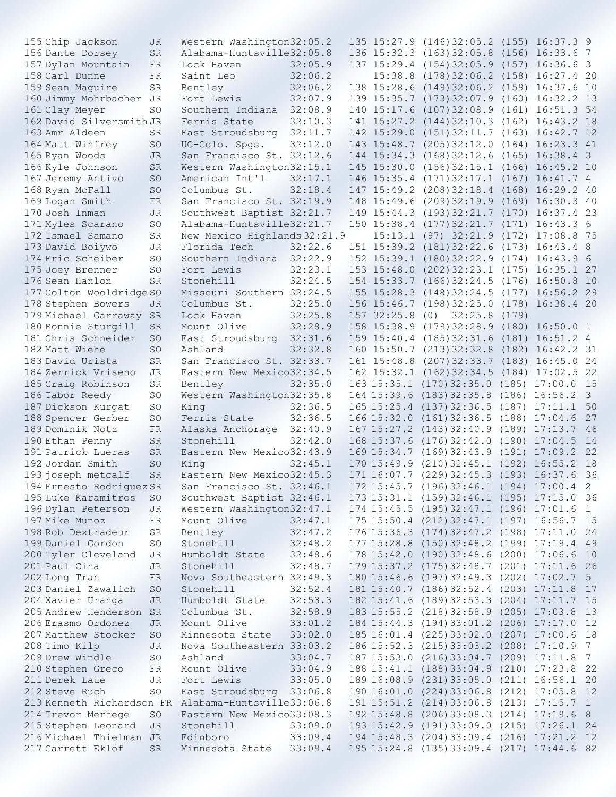| 155 Chip Jackson                                    | JR        | Western Washington32:05.2    |         |             | 135 15:27.9 (146) 32:05.2 (155) 16:37.3 9  |       |                        |                 |
|-----------------------------------------------------|-----------|------------------------------|---------|-------------|--------------------------------------------|-------|------------------------|-----------------|
| 156 Dante Dorsey                                    | <b>SR</b> | Alabama-Huntsville32:05.8    |         |             | 136 15:32.3 (163) 32:05.8 (156) 16:33.6 7  |       |                        |                 |
| 157 Dylan Mountain                                  | FR        | Lock Haven                   | 32:05.9 |             | 137 15:29.4 (154) 32:05.9 (157) 16:36.6 3  |       |                        |                 |
| 158 Carl Dunne                                      | FR        | Saint Leo                    | 32:06.2 | 15:38.8     | $(178)$ 32:06.2 $(158)$ 16:27.4 20         |       |                        |                 |
| 159 Sean Maguire                                    | SR        | Bentley                      | 32:06.2 | 138 15:28.6 | $(149)32:06.2$ $(159)$ $16:37.6$ 10        |       |                        |                 |
| 160 Jimmy Mohrbacher JR                             |           | Fort Lewis                   | 32:07.9 |             | 139 15:35.7 (173) 32:07.9 (160) 16:32.2 13 |       |                        |                 |
| 161 Clay Meyer                                      | SO        | Southern Indiana             | 32:08.9 | 140 15:17.6 | $(107)$ 32:08.9 $(161)$ 16:51.3 54         |       |                        |                 |
|                                                     |           |                              |         |             |                                            |       |                        |                 |
| 162 David Silversmith JR                            |           | Ferris State                 | 32:10.3 | 141 15:27.2 | $(144)$ 32:10.3 $(162)$ 16:43.2 18         |       |                        |                 |
| 163 Amr Aldeen                                      | SR        | East Stroudsburg             | 32:11.7 | 142 15:29.0 | $(151)$ 32:11.7 $(163)$ 16:42.7 12         |       |                        |                 |
| 164 Matt Winfrey                                    | <b>SO</b> | UC-Colo. Spgs.               | 32:12.0 | 143 15:48.7 | (205)32:12.0                               |       | $(164)$ $16:23.3$ $41$ |                 |
| 165 Ryan Woods                                      | <b>JR</b> | San Francisco St. 32:12.6    |         | 144 15:34.3 | (168)32:12.6                               |       | $(165)$ 16:38.4 3      |                 |
| 166 Kyle Johnson                                    | <b>SR</b> | Western Washington32:15.1    |         | 145 15:30.0 | $(156)$ 32:15.1 $(166)$ 16:45.2 10         |       |                        |                 |
| 167 Jeremy Antivo                                   | <b>SO</b> | American Int'l               | 32:17.1 | 146 15:35.4 | $(171)$ 32:17.1 $(167)$ 16:41.7 4          |       |                        |                 |
| 168 Ryan McFall                                     | <b>SO</b> | Columbus St.                 | 32:18.4 |             | 147 15:49.2 (208) 32:18.4                  |       | $(168)$ $16:29.2$ 40   |                 |
| 169 Logan Smith                                     | FR.       | San Francisco St. 32:19.9    |         | 148 15:49.6 | $(209)$ 32:19.9 $(169)$ 16:30.3 40         |       |                        |                 |
| 170 Josh Inman                                      | JR        | Southwest Baptist 32:21.7    |         | 149 15:44.3 | $(193)$ 32:21.7 $(170)$ 16:37.4 23         |       |                        |                 |
| 171 Myles Scarano                                   | <b>SO</b> | Alabama-Huntsville32:21.7    |         | 150 15:38.4 | $(177)$ 32:21.7 $(171)$ 16:43.3 6          |       |                        |                 |
| 172 Ismael Samano                                   | <b>SR</b> | New Mexico Highlands 32:21.9 |         | 15:13.1     | $(97)$ 32:21.9                             |       | $(172)$ 17:08.8 75     |                 |
| 173 David Boiywo                                    | JR        | Florida Tech                 | 32:22.6 | 151 15:39.2 | (181)32:22.6                               |       | $(173)$ 16:43.4 8      |                 |
| 174 Eric Scheiber                                   | SO        | Southern Indiana             | 32:22.9 |             | 152 15:39.1 (180) 32:22.9 (174)            |       | 16:43.96               |                 |
|                                                     |           |                              |         |             |                                            |       |                        |                 |
| 175 Joey Brenner                                    | SO        | Fort Lewis                   | 32:23.1 | 153 15:48.0 | $(202)$ 32:23.1 $(175)$ 16:35.1 27         |       |                        |                 |
| 176 Sean Hanlon                                     | <b>SR</b> | Stonehill                    | 32:24.5 |             | 154 15:33.7 (166) 32:24.5                  |       | $(176)$ 16:50.8        | 10              |
| 177 Colton Wooldridge SO                            |           | Missouri Southern 32:24.5    |         | 155 15:28.3 | (148)32:24.5                               |       | $(177)$ 16:56.2 29     |                 |
| 178 Stephen Bowers                                  | JR.       | Columbus St.                 | 32:25.0 |             | 156 15:46.7 (198) 32:25.0                  |       | $(178)$ 16:38.4 20     |                 |
| 179 Michael Garraway                                | <b>SR</b> | Lock Haven                   | 32:25.8 | 157 32:25.8 | 32:25.8<br>(0)                             | (179) |                        |                 |
| 180 Ronnie Sturgill                                 | <b>SR</b> | Mount Olive                  | 32:28.9 | 158 15:38.9 | (179)32:28.9                               |       | $(180)$ 16:50.0 1      |                 |
| 181 Chris Schneider                                 | <b>SO</b> | East Stroudsburg             | 32:31.6 | 159 15:40.4 | (185)32:31.6                               |       | $(181)$ $16:51.2$ 4    |                 |
| 182 Matt Wiehe                                      | <b>SO</b> | Ashland                      | 32:32.8 | 160 15:50.7 | (213)32:32.8                               |       | $(182)$ $16:42.2$ 31   |                 |
| 183 David Urista                                    | <b>SR</b> | San Francisco St. 32:33.7    |         | 161 15:48.8 | $(207)$ 32:33.7 $(183)$ 16:45.0            |       |                        | 24              |
| 184 Zerrick Vriseno                                 | JR        | Eastern New Mexico32:34.5    |         |             | 162 15:32.1 (162) 32:34.5                  |       | $(184)$ 17:02.5        | 22              |
| 185 Craig Robinson                                  | SR        | Bentley                      | 32:35.0 |             | 163 15:35.1 (170) 32:35.0                  |       | $(185)$ 17:00.0        | 15              |
| 186 Tabor Reedy                                     | SO        | Western Washington32:35.8    |         | 164 15:39.6 | (183)32:35.8                               |       | $(186)$ 16:56.2        | $\mathbf{3}$    |
| 187 Dickson Kurgat                                  | SO.       | King                         | 32:36.5 |             | 165 15:25.4 (137) 32:36.5                  |       | $(187)$ $17:11.1$      | 50              |
|                                                     |           |                              |         |             |                                            |       |                        |                 |
| 188 Spencer Gerber                                  | <b>SO</b> | Ferris State                 | 32:36.5 |             | 166 15:32.0 (161) 32:36.5                  |       | $(188)$ 17:04.6        | 27              |
| 189 Dominik Notz                                    | FR        | Alaska Anchorage             | 32:40.9 |             | 167 15:27.2 (143) 32:40.9                  |       | $(189)$ $17:13.7$      | 46              |
| 190 Ethan Penny                                     | <b>SR</b> | Stonehill                    | 32:42.0 |             | 168 15:37.6 (176) 32:42.0                  |       | $(190)$ 17:04.5        | 14              |
| 191 Patrick Lueras                                  | <b>SR</b> | Eastern New Mexico32:43.9    |         |             | 169 15:34.7 (169) 32:43.9                  |       | $(191)$ 17:09.2        | 22              |
| 192 Jordan Smith                                    | <b>SO</b> | King                         | 32:45.1 |             | 170 15:49.9 (210) 32:45.1 (192) 16:55.2    |       |                        | 18              |
| 193 joseph metcalf                                  | <b>SR</b> | Eastern New Mexico32:45.3    |         |             | 171 16:07.7 (229) 32:45.3 (193) 16:37.6    |       |                        | 36              |
| 194 Ernesto Rodriguez SR                            |           | San Francisco St. 32:46.1    |         |             | 172 15:45.7 (196) 32:46.1 (194) 17:00.4 2  |       |                        |                 |
| 195 Luke Karamitros                                 | SO.       | Southwest Baptist 32:46.1    |         |             | 173 15:31.1 (159) 32:46.1 (195) 17:15.0 36 |       |                        |                 |
| 196 Dylan Peterson                                  | JR        | Western Washington32:47.1    |         |             | 174 15:45.5 (195) 32:47.1 (196) 17:01.6 1  |       |                        |                 |
| 197 Mike Munoz                                      | FR        | Mount Olive                  | 32:47.1 |             | 175 15:50.4 (212) 32:47.1 (197) 16:56.7 15 |       |                        |                 |
| 198 Rob Dextradeur                                  | SR        | Bentley                      | 32:47.2 |             | 176 15:36.3 (174) 32:47.2 (198) 17:11.0 24 |       |                        |                 |
| 199 Daniel Gordon                                   | SO        | Stonehill                    | 32:48.2 |             | 177 15:28.8 (150) 32:48.2 (199) 17:19.4 49 |       |                        |                 |
| 200 Tyler Cleveland                                 | JR.       | Humboldt State               | 32:48.6 |             | 178 15:42.0 (190) 32:48.6 (200) 17:06.6 10 |       |                        |                 |
| 201 Paul Cina                                       | JR        | Stonehill                    | 32:48.7 |             | 179 15:37.2 (175) 32:48.7 (201) 17:11.6 26 |       |                        |                 |
|                                                     |           |                              |         |             |                                            |       |                        |                 |
| 202 Long Tran                                       | FR        | Nova Southeastern 32:49.3    |         |             | 180 15:46.6 (197) 32:49.3 (202) 17:02.7 5  |       |                        |                 |
| 203 Daniel Zawalich                                 | SO.       | Stonehill                    | 32:52.4 |             | 181 15:40.7 (186) 32:52.4 (203) 17:11.8    |       |                        | 17              |
| 204 Xavier Uranga                                   | JR        | Humboldt State               | 32:53.3 |             | 182 15:41.6 (189) 32:53.3 (204) 17:11.7 15 |       |                        |                 |
| 205 Andrew Henderson SR                             |           | Columbus St.                 | 32:58.9 |             | 183 15:55.2 (218) 32:58.9 (205) 17:03.8    |       |                        | 13              |
| 206 Erasmo Ordonez                                  | JR        | Mount Olive 33:01.2          |         |             | 184 15:44.3 (194) 33:01.2 (206) 17:17.0    |       |                        | 12              |
| 207 Matthew Stocker                                 | SO.       | Minnesota State              | 33:02.0 |             | 185 16:01.4 (225) 33:02.0 (207) 17:00.6    |       |                        | 18              |
| 208 Timo Kilp                                       | JR.       | Nova Southeastern 33:03.2    |         |             | 186 15:52.3 (215) 33:03.2 (208) 17:10.9 7  |       |                        |                 |
| 209 Drew Windle                                     | <b>SO</b> | Ashland                      | 33:04.7 |             | 187 15:53.0 (216) 33:04.7 (209) 17:11.8    |       |                        | $7\phantom{.0}$ |
| 210 Stephen Greco                                   | FR        | Mount Olive                  | 33:04.9 |             | 188 15:41.1 (188) 33:04.9 (210) 17:23.8 22 |       |                        |                 |
| 211 Derek Laue                                      | JR        | Fort Lewis                   | 33:05.0 |             | 189 16:08.9 (231) 33:05.0 (211) 16:56.1 20 |       |                        |                 |
| 212 Steve Ruch                                      | <b>SO</b> | East Stroudsburg 33:06.8     |         |             | 190 16:01.0 (224) 33:06.8 (212) 17:05.8    |       |                        | 12              |
| 213 Kenneth Richardson FR Alabama-Huntsville33:06.8 |           |                              |         |             | 191 15:51.2 (214) 33:06.8 (213) 17:15.7 1  |       |                        |                 |
|                                                     |           |                              |         |             |                                            |       |                        |                 |
| 214 Trevor Merhege                                  | <b>SO</b> | Eastern New Mexico33:08.3    |         |             | 192 15:48.8 (206) 33:08.3 (214) 17:19.6 8  |       |                        |                 |
| 215 Stephen Leonard                                 | JR        | Stonehill                    | 33:09.0 |             | 193 15:42.9 (191) 33:09.0 (215) 17:26.1 24 |       |                        |                 |
| 216 Michael Thielman JR                             |           | Edinboro                     | 33:09.4 |             | 194 15:48.3 (204) 33:09.4 (216) 17:21.2 12 |       |                        |                 |
| 217 Garrett Eklof                                   | <b>SR</b> | Minnesota State 33:09.4      |         |             | 195 15:24.8 (135) 33:09.4 (217) 17:44.6 82 |       |                        |                 |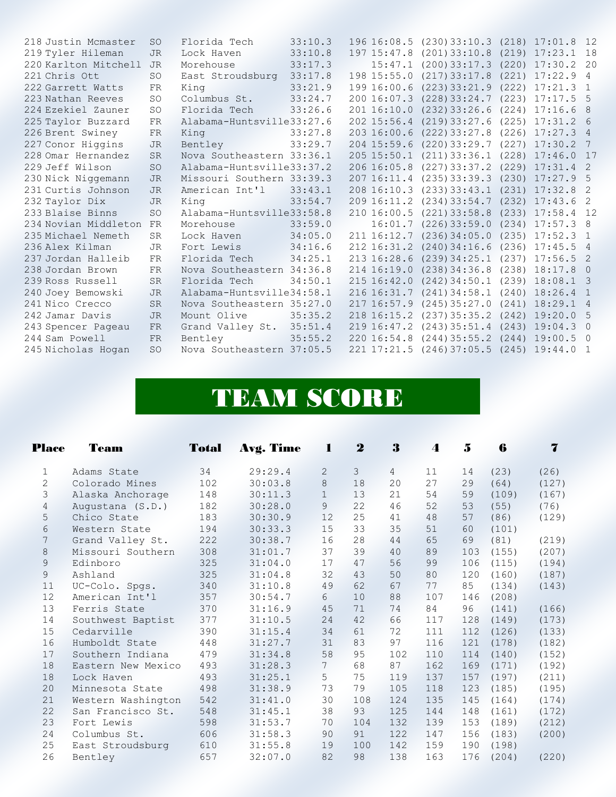| 218 Justin Mcmaster  | <sub>SO</sub>   | Florida Tech              | 33:10.3 |                 | 196 16:08.5 (230) 33:10.3 (218) 17:01.8 12 |       |                    |                |
|----------------------|-----------------|---------------------------|---------|-----------------|--------------------------------------------|-------|--------------------|----------------|
| 219 Tyler Hileman    | <b>JR</b>       | Lock Haven                | 33:10.8 | 197 15:47.8     | (201)33:10.8                               |       | $(219)$ $17:23.1$  | 18             |
| 220 Karlton Mitchell | <b>JR</b>       | Morehouse                 | 33:17.3 | 15:47.1         | (200)33:17.3                               |       | $(220)$ 17:30.2 20 |                |
| 221 Chris Ott        | SO              | East Stroudsburg 33:17.8  |         | 198 15:55.0     | (217)33:17.8                               | (221) | 17:22.9            | $\overline{4}$ |
| 222 Garrett Watts    | <b>FR</b>       | Kina                      | 33:21.9 | 199 16:00.6     | $(223)$ 33:21.9                            | (222) | 17:21.3            | $\overline{1}$ |
| 223 Nathan Reeves    | <b>SO</b>       | Columbus St.              | 33:24.7 | 200 16:07.3     | (228)33:24.7                               |       | $(223)$ 17:17.5    | - 5            |
| 224 Ezekiel Zauner   | SO              | Florida Tech              | 33:26.6 | 201 16:10.0     | $(232)$ 33:26.6                            |       | $(224)$ 17:16.6    | 8              |
| 225 Taylor Buzzard   | FR              | Alabama-Huntsville33:27.6 |         | 202 15:56.4     | (219)33:27.6                               |       | $(225)$ 17:31.2 6  |                |
| 226 Brent Swiney     | <b>FR</b>       | King                      | 33:27.8 | 203 16:00.6     | $(222)$ 33:27.8                            |       | $(226)$ 17:27.3 4  |                |
| 227 Conor Higgins    | <b>JR</b>       | Bentley                   | 33:29.7 | $204$ 15:59.6   | $(220)$ 33:29.7                            |       | $(227)$ 17:30.2    | 7              |
| 228 Omar Hernandez   | <b>SR</b>       | Nova Southeastern 33:36.1 |         | $205$ $15:50.1$ | $(211)$ 33:36.1                            | (228) | 17:46.0            | 17             |
| 229 Jeff Wilson      | <b>SO</b>       | Alabama-Huntsville33:37.2 |         | 206 16:05.8     | $(227)$ 33:37.2                            |       | $(229)$ 17:31.4    | $\sqrt{2}$     |
| 230 Nick Niggemann   | <b>JR</b>       | Missouri Southern 33:39.3 |         | 20716:11.4      | (235)33:39.3                               |       | $(230)$ $17:27.9$  | - 5            |
| 231 Curtis Johnson   | <b>JR</b>       | American Int'l            | 33:43.1 | 208 16:10.3     | $(233)$ 33:43.1                            | (231) | 17:32.8            | -2             |
| 232 Taylor Dix       | <b>JR</b>       | King                      | 33:54.7 |                 | 209 16:11.2 (234) 33:54.7                  |       | $(232)$ 17:43.6    | -2             |
| 233 Blaise Binns     | SO.             | Alabama-Huntsville33:58.8 |         | 210 16:00.5     | $(221)$ 33:58.8                            | (233) | $17:58.4$ 12       |                |
| 234 Novian Middleton | <b>FR</b>       | Morehouse                 | 33:59.0 | 16:01.7         | $(226)$ 33:59.0                            | (234) | 17:57.3            | - 8            |
| 235 Michael Nemeth   | <b>SR</b>       | Lock Haven                | 34:05.0 | 211 16:12.7     | (236)34:05.0                               | (235) | 17:52.3            | $\overline{1}$ |
| 236 Alex Kilman      | JR.             | Fort Lewis                | 34:16.6 | 212 16:31.2     | (240)34:16.6                               |       | $(236)$ 17:45.5    | $\overline{4}$ |
| 237 Jordan Halleib   | FR              | Florida Tech              | 34:25.1 | 213 16:28.6     | (239)34:25.1                               | (237) | 17:56.5            | $\overline{2}$ |
| 238 Jordan Brown     | FR              | Nova Southeastern 34:36.8 |         | 214 16:19.0     | (238)34:36.8                               |       | $(238)$ $18:17.8$  | $\bigcirc$     |
| 239 Ross Russell     | <b>SR</b>       | Florida Tech              | 34:50.1 | 215 16:42.0     | $(242)$ 34:50.1                            |       | $(239)$ 18:08.1 3  |                |
| 240 Joey Bemowski    | JR.             | Alabama-Huntsville34:58.1 |         | 216 16:31.7     | $(241)$ 34:58.1                            |       | $(240)$ 18:26.4    | $\overline{1}$ |
| 241 Nico Crecco      | <b>SR</b>       | Nova Southeastern 35:27.0 |         | 217 16:57.9     | (245)35:27.0                               |       | $(241)$ 18:29.1    | $\frac{4}{3}$  |
| 242 Jamar Davis      | <b>JR</b>       | Mount Olive               | 35:35.2 | 218 16:15.2     | (237)35:35.2                               | (242) | 19:20.0            | - 5            |
| 243 Spencer Pageau   | <b>FR</b>       | Grand Valley St. 35:51.4  |         | 219 16:47.2     | (243)35:51.4                               |       | $(243)$ 19:04.3    | $\bigcirc$     |
| 244 Sam Powell       | <b>FR</b>       | Bentley                   | 35:55.2 | 220 16:54.8     | $(244)$ 35:55.2                            | (244) | 19:00.5            | $\bigcirc$     |
| 245 Nicholas Hogan   | SO <sub>2</sub> | Nova Southeastern 37:05.5 |         |                 | 221 17:21.5 (246) 37:05.5 (245) 19:44.0    |       |                    | $\overline{1}$ |
|                      |                 |                           |         |                 |                                            |       |                    |                |

## TEAM SCORE

|                | <b>Place</b><br><b>Team</b> | <b>Total</b> | Avg. Time | 1               | $\mathbf 2$ | 3              | 4   | $\ddot{\bullet}$ | 6     | $\overline{\mathbf{7}}$ |
|----------------|-----------------------------|--------------|-----------|-----------------|-------------|----------------|-----|------------------|-------|-------------------------|
| 1              | Adams State                 | 34           | 29:29.4   | $\overline{2}$  | 3           | $\overline{4}$ | 11  | 14               | (23)  | (26)                    |
| $\overline{2}$ | Colorado Mines              | 102          | 30:03.8   | 8               | 18          | 20             | 27  | 29               | (64)  | (127)                   |
| 3              | Alaska Anchorage            | 148          | 30:11.3   | $\mathbf 1$     | 13          | 21             | 54  | 59               | (109) | (167)                   |
| 4              | Augustana (S.D.)            | 182          | 30:28.0   | 9               | 22          | 46             | 52  | 53               | (55)  | (76)                    |
| 5              | Chico State                 | 183          | 30:30.9   | 12              | 25          | 41             | 48  | 57               | (86)  | (129)                   |
| 6              | Western State               | 194          | 30:33.3   | 15              | 33          | 35             | 51  | 60               | (101) |                         |
| 7              | Grand Valley St.            | 222          | 30:38.7   | 16              | 28          | 44             | 65  | 69               | (81)  | (219)                   |
| 8              | Missouri Southern           | 308          | 31:01.7   | 37              | 39          | 40             | 89  | 103              | (155) | (207)                   |
| 9              | Edinboro                    | 325          | 31:04.0   | 17              | 47          | 56             | 99  | 106              | (115) | (194)                   |
| 9              | Ashland                     | 325          | 31:04.8   | 32              | 43          | 50             | 80  | 120              | (160) | (187)                   |
|                | 11<br>UC-Colo. Spgs.        | 340          | 31:10.8   | 49              | 62          | 67             | 77  | 85               | (134) | (143)                   |
|                | 12<br>American Int'l        | 357          | 30:54.7   | 6               | 10          | 88             | 107 | 146              | (208) |                         |
|                | 13<br>Ferris State          | 370          | 31:16.9   | 45              | 71          | 74             | 84  | 96               | (141) | (166)                   |
|                | 14<br>Southwest Baptist     | 377          | 31:10.5   | 24              | 42          | 66             | 117 | 128              | (149) | (173)                   |
|                | 15<br>Cedarville            | 390          | 31:15.4   | 34              | 61          | 72             | 111 | 112              | (126) | (133)                   |
|                | 16<br>Humboldt State        | 448          | 31:27.7   | 31              | 83          | 97             | 116 | 121              | (178) | (182)                   |
|                | 17<br>Southern Indiana      | 479          | 31:34.8   | 58              | 95          | 102            | 110 | 114              | (140) | (152)                   |
|                | 18<br>Eastern New Mexico    | 493          | 31:28.3   | $7\overline{ }$ | 68          | 87             | 162 | 169              | (171) | (192)                   |
|                | 18<br>Lock Haven            | 493          | 31:25.1   | 5               | 75          | 119            | 137 | 157              | (197) | (211)                   |
|                | 20<br>Minnesota State       | 498          | 31:38.9   | 73              | 79          | 105            | 118 | 123              | (185) | (195)                   |
|                | 21<br>Western Washington    | 542          | 31:41.0   | 30              | 108         | 124            | 135 | 145              | (164) | (174)                   |
|                | 22<br>San Francisco St.     | 548          | 31:45.1   | 38              | 93          | 125            | 144 | 148              | (161) | (172)                   |
|                | 23<br>Fort Lewis            | 598          | 31:53.7   | 70              | 104         | 132            | 139 | 153              | (189) | (212)                   |
|                | 24<br>Columbus St.          | 606          | 31:58.3   | 90              | 91          | 122            | 147 | 156              | (183) | (200)                   |
|                | 25<br>East Stroudsburg      | 610          | 31:55.8   | 19              | 100         | 142            | 159 | 190              | (198) |                         |
|                | 26<br>Bentley               | 657          | 32:07.0   | 82              | 98          | 138            | 163 | 176              | (204) | (220)                   |
|                |                             |              |           |                 |             |                |     |                  |       |                         |